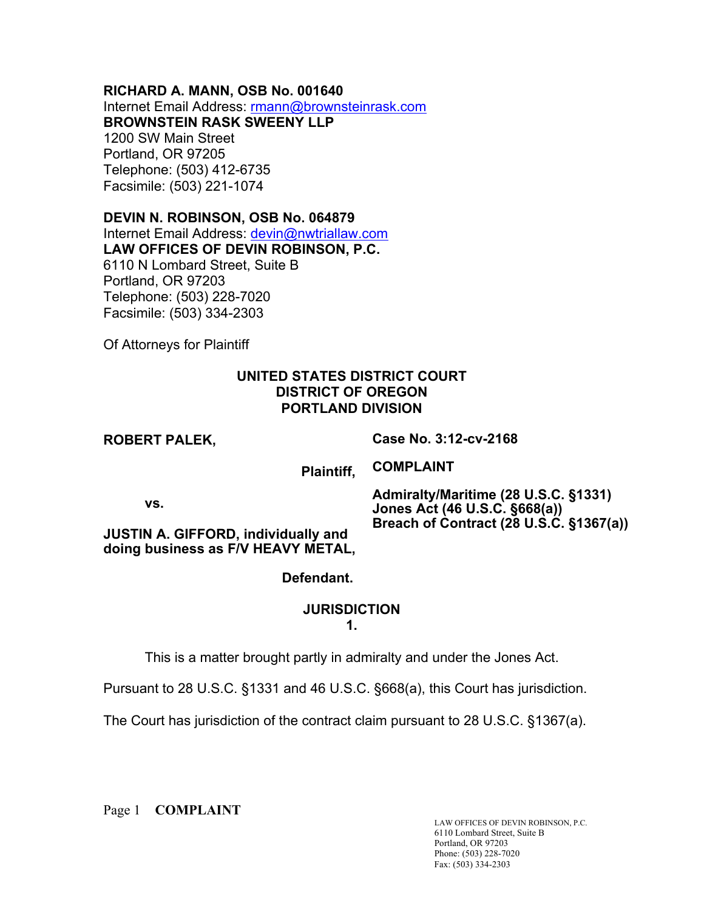### **RICHARD A. MANN, OSB No. 001640**

Internet Email Address: rmann@brownsteinrask.com

**BROWNSTEIN RASK SWEENY LLP**

1200 SW Main Street Portland, OR 97205 Telephone: (503) 412-6735 Facsimile: (503) 221-1074

## **DEVIN N. ROBINSON, OSB No. 064879**

Internet Email Address: devin@nwtriallaw.com **LAW OFFICES OF DEVIN ROBINSON, P.C.** 6110 N Lombard Street, Suite B Portland, OR 97203 Telephone: (503) 228-7020 Facsimile: (503) 334-2303

Of Attorneys for Plaintiff

## **UNITED STATES DISTRICT COURT DISTRICT OF OREGON PORTLAND DIVISION**

## **ROBERT PALEK,**

**Case No. 3:12-cv-2168**

 **Plaintiff,**

**COMPLAINT**

**vs.**

**Admiralty/Maritime (28 U.S.C. §1331) Jones Act (46 U.S.C. §668(a)) Breach of Contract (28 U.S.C. §1367(a))**

**JUSTIN A. GIFFORD, individually and doing business as F/V HEAVY METAL,**

# **Defendant.**

## **JURISDICTION**

**1.**

This is a matter brought partly in admiralty and under the Jones Act.

Pursuant to 28 U.S.C. §1331 and 46 U.S.C. §668(a), this Court has jurisdiction.

The Court has jurisdiction of the contract claim pursuant to 28 U.S.C. §1367(a).

Page 1 **COMPLAINT**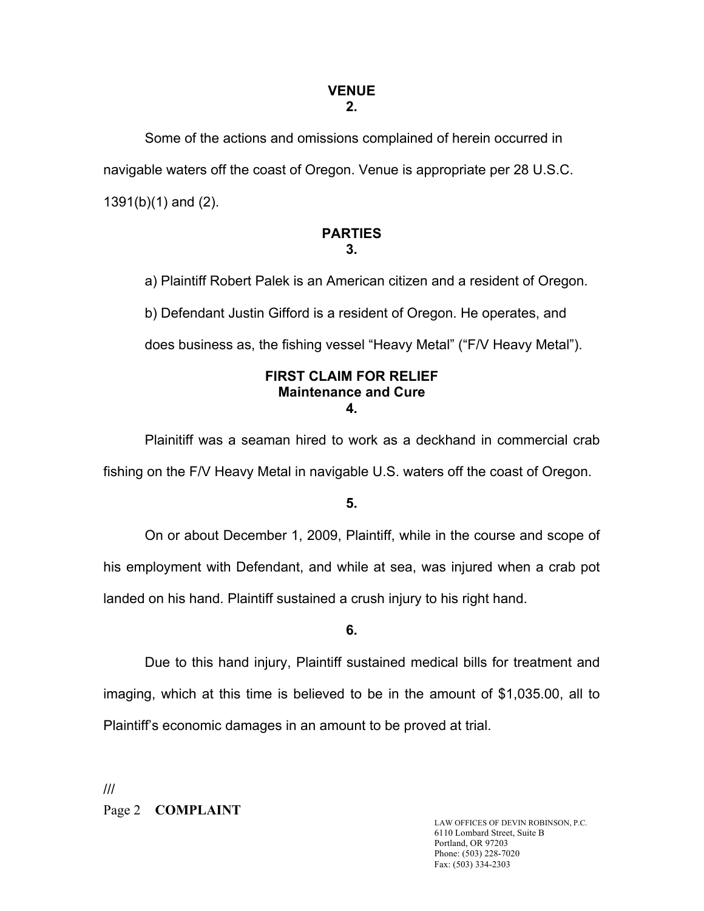#### **VENUE 2.**

Some of the actions and omissions complained of herein occurred in navigable waters off the coast of Oregon. Venue is appropriate per 28 U.S.C. 1391(b)(1) and (2).

### **PARTIES 3.**

a) Plaintiff Robert Palek is an American citizen and a resident of Oregon.

b) Defendant Justin Gifford is a resident of Oregon. He operates, and

does business as, the fishing vessel "Heavy Metal" ("F/V Heavy Metal").

### **FIRST CLAIM FOR RELIEF Maintenance and Cure 4.**

Plainitiff was a seaman hired to work as a deckhand in commercial crab fishing on the F/V Heavy Metal in navigable U.S. waters off the coast of Oregon.

## **5.**

On or about December 1, 2009, Plaintiff, while in the course and scope of his employment with Defendant, and while at sea, was injured when a crab pot landed on his hand. Plaintiff sustained a crush injury to his right hand.

## **6.**

Due to this hand injury, Plaintiff sustained medical bills for treatment and imaging, which at this time is believed to be in the amount of \$1,035.00, all to Plaintiff's economic damages in an amount to be proved at trial.

Page 2 **COMPLAINT** ///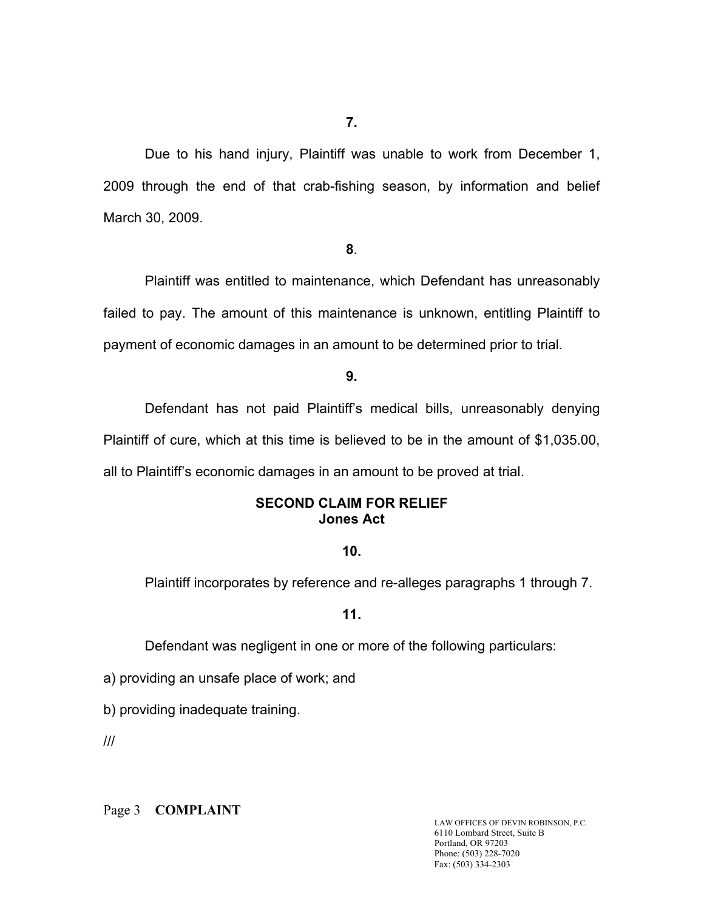Due to his hand injury, Plaintiff was unable to work from December 1, 2009 through the end of that crab-fishing season, by information and belief March 30, 2009.

#### **8**.

Plaintiff was entitled to maintenance, which Defendant has unreasonably failed to pay. The amount of this maintenance is unknown, entitling Plaintiff to payment of economic damages in an amount to be determined prior to trial.

#### **9.**

Defendant has not paid Plaintiff's medical bills, unreasonably denying Plaintiff of cure, which at this time is believed to be in the amount of \$1,035.00, all to Plaintiff's economic damages in an amount to be proved at trial.

### **SECOND CLAIM FOR RELIEF Jones Act**

### **10.**

Plaintiff incorporates by reference and re-alleges paragraphs 1 through 7.

### **11.**

Defendant was negligent in one or more of the following particulars:

a) providing an unsafe place of work; and

b) providing inadequate training.

///

Page 3 **COMPLAINT**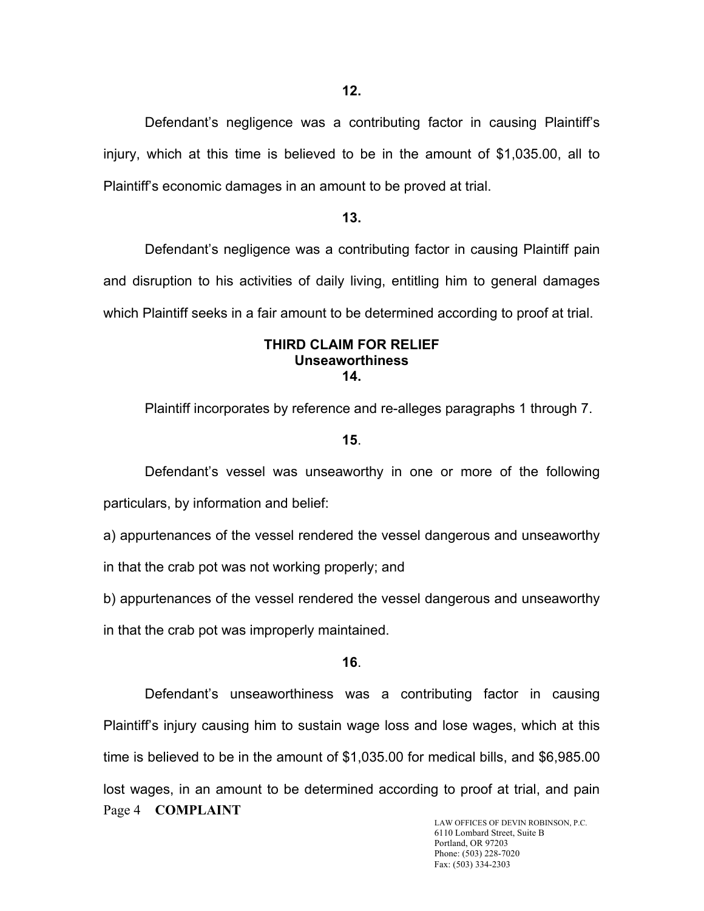Defendant's negligence was a contributing factor in causing Plaintiff's injury, which at this time is believed to be in the amount of \$1,035.00, all to Plaintiff's economic damages in an amount to be proved at trial.

### **13.**

Defendant's negligence was a contributing factor in causing Plaintiff pain and disruption to his activities of daily living, entitling him to general damages which Plaintiff seeks in a fair amount to be determined according to proof at trial.

#### **THIRD CLAIM FOR RELIEF Unseaworthiness 14.**

Plaintiff incorporates by reference and re-alleges paragraphs 1 through 7.

#### **15**.

Defendant's vessel was unseaworthy in one or more of the following particulars, by information and belief:

a) appurtenances of the vessel rendered the vessel dangerous and unseaworthy in that the crab pot was not working properly; and

b) appurtenances of the vessel rendered the vessel dangerous and unseaworthy in that the crab pot was improperly maintained.

#### **16**.

Page 4 **COMPLAINT** Defendant's unseaworthiness was a contributing factor in causing Plaintiff's injury causing him to sustain wage loss and lose wages, which at this time is believed to be in the amount of \$1,035.00 for medical bills, and \$6,985.00 lost wages, in an amount to be determined according to proof at trial, and pain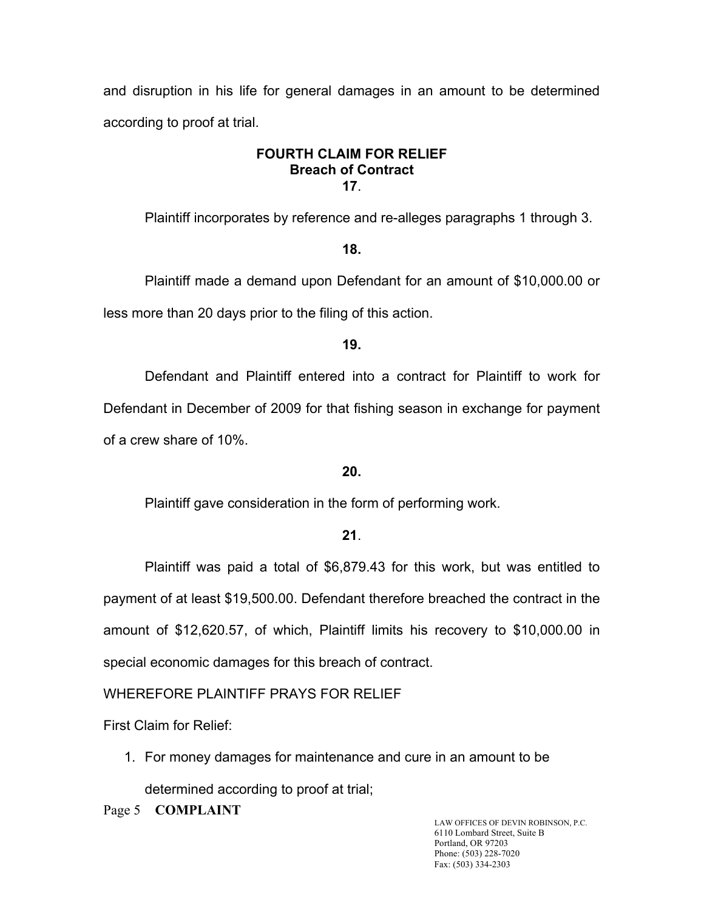and disruption in his life for general damages in an amount to be determined according to proof at trial.

### **FOURTH CLAIM FOR RELIEF Breach of Contract 17**.

Plaintiff incorporates by reference and re-alleges paragraphs 1 through 3.

## **18.**

Plaintiff made a demand upon Defendant for an amount of \$10,000.00 or less more than 20 days prior to the filing of this action.

## **19.**

Defendant and Plaintiff entered into a contract for Plaintiff to work for Defendant in December of 2009 for that fishing season in exchange for payment of a crew share of 10%.

## **20.**

Plaintiff gave consideration in the form of performing work.

# **21**.

Plaintiff was paid a total of \$6,879.43 for this work, but was entitled to payment of at least \$19,500.00. Defendant therefore breached the contract in the amount of \$12,620.57, of which, Plaintiff limits his recovery to \$10,000.00 in special economic damages for this breach of contract.

# WHEREFORE PLAINTIFF PRAYS FOR RELIEF

First Claim for Relief:

1. For money damages for maintenance and cure in an amount to be

determined according to proof at trial;

**COMPLAINT** LAW OFFICES OF DEVIN ROBINSON, P.C.